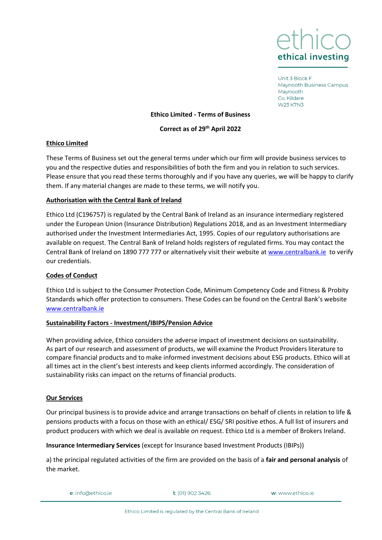

Unit 3 Block F Maynooth Business Campus Maynooth Co. Kildare **W23 K7N3** 

### **Ethico Limited - Terms of Business**

### **Correct as of 29th April 2022**

### **Ethico Limited**

These Terms of Business set out the general terms under which our firm will provide business services to you and the respective duties and responsibilities of both the firm and you in relation to such services. Please ensure that you read these terms thoroughly and if you have any queries, we will be happy to clarify them. If any material changes are made to these terms, we will notify you.

### **Authorisation with the Central Bank of Ireland**

Ethico Ltd (C196757) is regulated by the Central Bank of Ireland as an insurance intermediary registered under the European Union (Insurance Distribution) Regulations 2018, and as an Investment Intermediary authorised under the Investment Intermediaries Act, 1995. Copies of our regulatory authorisations are available on request. The Central Bank of Ireland holds registers of regulated firms. You may contact the Central Bank of Ireland on 1890 777 777 or alternatively visit their website at [www.centralbank.ie](http://www.centralbank.ie/) to verify our credentials.

# **Codes of Conduct**

Ethico Ltd is subject to the Consumer Protection Code, Minimum Competency Code and Fitness & Probity Standards which offer protection to consumers. These Codes can be found on the Central Bank's website [www.centralbank.ie](http://www.centralbank.ie/)

#### **Sustainability Factors - Investment/IBIPS/Pension Advice**

When providing advice, Ethico considers the adverse impact of investment decisions on sustainability. As part of our research and assessment of products, we will examine the Product Providers literature to compare financial products and to make informed investment decisions about ESG products. Ethico will at all times act in the client's best interests and keep clients informed accordingly. The consideration of sustainability risks can impact on the returns of financial products.

# **Our Services**

Our principal business is to provide advice and arrange transactions on behalf of clients in relation to life & pensions products with a focus on those with an ethical/ ESG/ SRI positive ethos. A full list of insurers and product producers with which we deal is available on request. Ethico Ltd is a member of Brokers Ireland.

#### **Insurance Intermediary Services** (except for Insurance based Investment Products (IBIPs))

a) the principal regulated activities of the firm are provided on the basis of a **fair and personal analysis** of the market.

e: info@ethico.ie

t: (01) 902 3426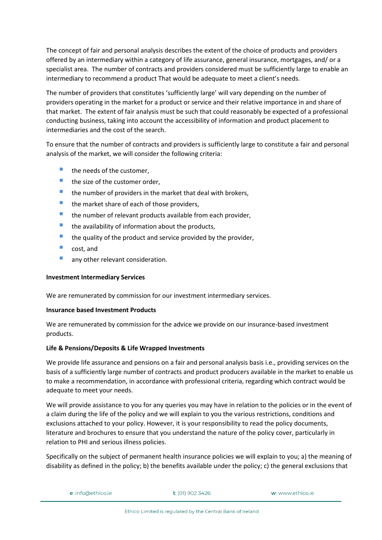The concept of fair and personal analysis describes the extent of the choice of products and providers offered by an intermediary within a category of life assurance, general insurance, mortgages, and/ or a specialist area. The number of contracts and providers considered must be sufficiently large to enable an intermediary to recommend a product That would be adequate to meet a client's needs.

The number of providers that constitutes 'sufficiently large' will vary depending on the number of providers operating in the market for a product or service and their relative importance in and share of that market. The extent of fair analysis must be such that could reasonably be expected of a professional conducting business, taking into account the accessibility of information and product placement to intermediaries and the cost of the search.

To ensure that the number of contracts and providers is sufficiently large to constitute a fair and personal analysis of the market, we will consider the following criteria:

- the needs of the customer,
- $\blacksquare$  the size of the customer order.
- $\blacksquare$  the number of providers in the market that deal with brokers,
- $\blacksquare$  the market share of each of those providers,
- $\blacksquare$  the number of relevant products available from each provider,
- $\blacksquare$  the availability of information about the products,
- $\blacksquare$  the quality of the product and service provided by the provider,
- cost, and
- **any other relevant consideration.**

# **Investment Intermediary Services**

We are remunerated by commission for our investment intermediary services.

# **Insurance based Investment Products**

We are remunerated by commission for the advice we provide on our insurance-based investment products.

# **Life & Pensions/Deposits & Life Wrapped Investments**

We provide life assurance and pensions on a fair and personal analysis basis i.e., providing services on the basis of a sufficiently large number of contracts and product producers available in the market to enable us to make a recommendation, in accordance with professional criteria, regarding which contract would be adequate to meet your needs.

We will provide assistance to you for any queries you may have in relation to the policies or in the event of a claim during the life of the policy and we will explain to you the various restrictions, conditions and exclusions attached to your policy. However, it is your responsibility to read the policy documents, literature and brochures to ensure that you understand the nature of the policy cover, particularly in relation to PHI and serious illness policies.

Specifically on the subject of permanent health insurance policies we will explain to you; a) the meaning of disability as defined in the policy; b) the benefits available under the policy; c) the general exclusions that

```
e: info@ethico.ie
```
 $t$ : (01) 902 3426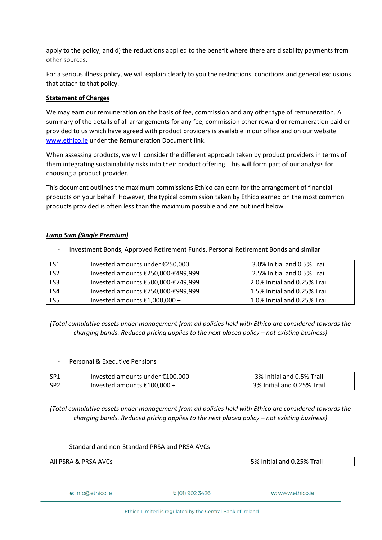apply to the policy; and d) the reductions applied to the benefit where there are disability payments from other sources.

For a serious illness policy, we will explain clearly to you the restrictions, conditions and general exclusions that attach to that policy.

# **Statement of Charges**

We may earn our remuneration on the basis of fee, commission and any other type of remuneration. A summary of the details of all arrangements for any fee, commission other reward or remuneration paid or provided to us which have agreed with product providers is available in our office and on our website [www.ethico.ie](http://www.ethico.ie/) under the Remuneration Document link.

When assessing products, we will consider the different approach taken by product providers in terms of them integrating sustainability risks into their product offering. This will form part of our analysis for choosing a product provider.

This document outlines the maximum commissions Ethico can earn for the arrangement of financial products on your behalf. However, the typical commission taken by Ethico earned on the most common products provided is often less than the maximum possible and are outlined below.

# *Lump Sum (Single Premium)*

- Investment Bonds, Approved Retirement Funds, Personal Retirement Bonds and similar

| LS1             | Invested amounts under €250,000    | 3.0% Initial and 0.5% Trail  |
|-----------------|------------------------------------|------------------------------|
| LS <sub>2</sub> | Invested amounts €250,000-€499,999 | 2.5% Initial and 0.5% Trail  |
| LS3             | Invested amounts €500,000-€749,999 | 2.0% Initial and 0.25% Trail |
| LS4             | Invested amounts €750,000-€999,999 | 1.5% Initial and 0.25% Trail |
| LS5             | Invested amounts $£1,000,000 +$    | 1.0% Initial and 0.25% Trail |

*(Total cumulative assets under management from all policies held with Ethico are considered towards the charging bands. Reduced pricing applies to the next placed policy – not existing business)*

Personal & Executive Pensions

| l SP1 | Invested amounts under €100,000 | 3% Initial and 0.5% Trail  |
|-------|---------------------------------|----------------------------|
| l SP2 | Invested amounts $£100,000 +$   | 3% Initial and 0.25% Trail |

*(Total cumulative assets under management from all policies held with Ethico are considered towards the charging bands. Reduced pricing applies to the next placed policy – not existing business)*

# - Standard and non-Standard PRSA and PRSA AVCs

| All PSRA & PRSA AVCs      |                     | 5% Initial and 0.25% Trail |
|---------------------------|---------------------|----------------------------|
|                           |                     |                            |
|                           |                     |                            |
| <b>e</b> : info@ethico.ie | $t$ : (01) 902 3426 | <b>w</b> : www.ethico.je   |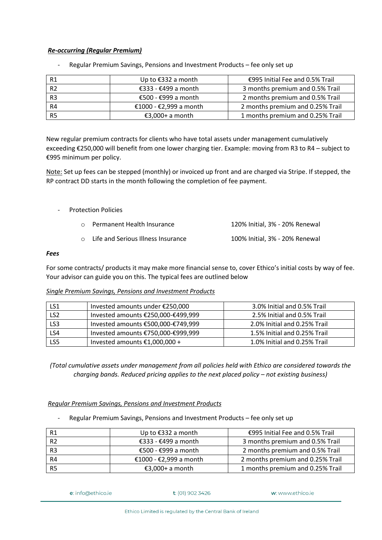# *Re-occurring (Regular Premium)*

| R1             | Up to €332 a month     | €995 Initial Fee and 0.5% Trail  |
|----------------|------------------------|----------------------------------|
| R <sub>2</sub> | €333 - €499 a month    | 3 months premium and 0.5% Trail  |
| R <sub>3</sub> | €500 - €999 a month    | 2 months premium and 0.5% Trail  |
| R4             | €1000 - €2,999 a month | 2 months premium and 0.25% Trail |
| R <sub>5</sub> | €3,000+ a month        | 1 months premium and 0.25% Trail |

- Regular Premium Savings, Pensions and Investment Products – fee only set up

New regular premium contracts for clients who have total assets under management cumulatively exceeding €250,000 will benefit from one lower charging tier. Example: moving from R3 to R4 – subject to €995 minimum per policy.

Note: Set up fees can be stepped (monthly) or invoiced up front and are charged via Stripe. If stepped, the RP contract DD starts in the month following the completion of fee payment.

- Protection Policies

| ○ Permanent Health Insurance         | 120% Initial, 3% - 20% Renewal |
|--------------------------------------|--------------------------------|
| ○ Life and Serious Illness Insurance | 100% Initial, 3% - 20% Renewal |

# *Fees*

For some contracts/ products it may make more financial sense to, cover Ethico's initial costs by way of fee. Your advisor can guide you on this. The typical fees are outlined below

# *Single Premium Savings, Pensions and Investment Products*

| LS1             | Invested amounts under €250,000    | 3.0% Initial and 0.5% Trail  |
|-----------------|------------------------------------|------------------------------|
| LS <sub>2</sub> | Invested amounts €250,000-€499,999 | 2.5% Initial and 0.5% Trail  |
| LS3             | Invested amounts €500,000-€749,999 | 2.0% Initial and 0.25% Trail |
| LS4             | Invested amounts €750,000-€999,999 | 1.5% Initial and 0.25% Trail |
| LS5             | Invested amounts $£1,000,000 +$    | 1.0% Initial and 0.25% Trail |

*(Total cumulative assets under management from all policies held with Ethico are considered towards the charging bands. Reduced pricing applies to the next placed policy – not existing business)*

# *Regular Premium Savings, Pensions and Investment Products*

- Regular Premium Savings, Pensions and Investment Products – fee only set up

| R1             | Up to €332 a month     | €995 Initial Fee and 0.5% Trail  |
|----------------|------------------------|----------------------------------|
| R <sub>2</sub> | €333 - €499 a month    | 3 months premium and 0.5% Trail  |
| R3             | €500 - €999 a month    | 2 months premium and 0.5% Trail  |
| R4             | €1000 - €2,999 a month | 2 months premium and 0.25% Trail |
| R <sub>5</sub> | €3,000+ a month        | 1 months premium and 0.25% Trail |

e: info@ethico.ie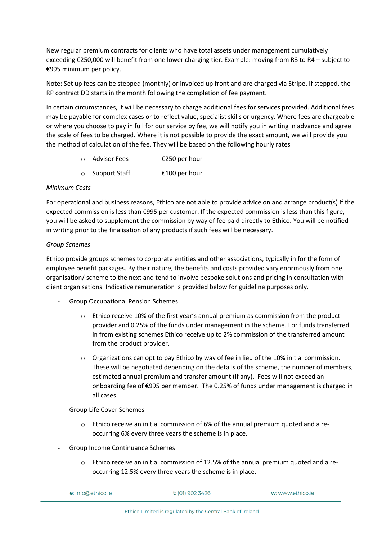New regular premium contracts for clients who have total assets under management cumulatively exceeding €250,000 will benefit from one lower charging tier. Example: moving from R3 to R4 – subject to €995 minimum per policy.

Note: Set up fees can be stepped (monthly) or invoiced up front and are charged via Stripe. If stepped, the RP contract DD starts in the month following the completion of fee payment.

In certain circumstances, it will be necessary to charge additional fees for services provided. Additional fees may be payable for complex cases or to reflect value, specialist skills or urgency. Where fees are chargeable or where you choose to pay in full for our service by fee, we will notify you in writing in advance and agree the scale of fees to be charged. Where it is not possible to provide the exact amount, we will provide you the method of calculation of the fee. They will be based on the following hourly rates

- o Advisor Fees €250 per hour
- o Support Staff €100 per hour

# *Minimum Costs*

For operational and business reasons, Ethico are not able to provide advice on and arrange product(s) if the expected commission is less than €995 per customer. If the expected commission is less than this figure, you will be asked to supplement the commission by way of fee paid directly to Ethico. You will be notified in writing prior to the finalisation of any products if such fees will be necessary.

# *Group Schemes*

Ethico provide groups schemes to corporate entities and other associations, typically in for the form of employee benefit packages. By their nature, the benefits and costs provided vary enormously from one organisation/ scheme to the next and tend to involve bespoke solutions and pricing in consultation with client organisations. Indicative remuneration is provided below for guideline purposes only.

- Group Occupational Pension Schemes
	- $\circ$  Ethico receive 10% of the first year's annual premium as commission from the product provider and 0.25% of the funds under management in the scheme. For funds transferred in from existing schemes Ethico receive up to 2% commission of the transferred amount from the product provider.
	- $\circ$  Organizations can opt to pay Ethico by way of fee in lieu of the 10% initial commission. These will be negotiated depending on the details of the scheme, the number of members, estimated annual premium and transfer amount (if any). Fees will not exceed an onboarding fee of €995 per member. The 0.25% of funds under management is charged in all cases.
- Group Life Cover Schemes
	- o Ethico receive an initial commission of 6% of the annual premium quoted and a reoccurring 6% every three years the scheme is in place.
- Group Income Continuance Schemes
	- $\circ$  Ethico receive an initial commission of 12.5% of the annual premium quoted and a reoccurring 12.5% every three years the scheme is in place.

| e: info@ethico.ie | $t$ : (01) 902 3426 | w: www.ethico.je |
|-------------------|---------------------|------------------|
|-------------------|---------------------|------------------|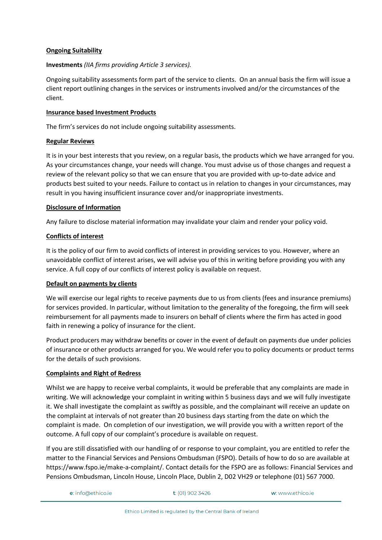# **Ongoing Suitability**

# **Investments** *(IIA firms providing Article 3 services).*

Ongoing suitability assessments form part of the service to clients. On an annual basis the firm will issue a client report outlining changes in the services or instruments involved and/or the circumstances of the client.

# **Insurance based Investment Products**

The firm's services do not include ongoing suitability assessments.

# **Regular Reviews**

It is in your best interests that you review, on a regular basis, the products which we have arranged for you. As your circumstances change, your needs will change. You must advise us of those changes and request a review of the relevant policy so that we can ensure that you are provided with up-to-date advice and products best suited to your needs. Failure to contact us in relation to changes in your circumstances, may result in you having insufficient insurance cover and/or inappropriate investments.

# **Disclosure of Information**

Any failure to disclose material information may invalidate your claim and render your policy void.

# **Conflicts of interest**

It is the policy of our firm to avoid conflicts of interest in providing services to you. However, where an unavoidable conflict of interest arises, we will advise you of this in writing before providing you with any service. A full copy of our conflicts of interest policy is available on request.

# **Default on payments by clients**

We will exercise our legal rights to receive payments due to us from clients (fees and insurance premiums) for services provided. In particular, without limitation to the generality of the foregoing, the firm will seek reimbursement for all payments made to insurers on behalf of clients where the firm has acted in good faith in renewing a policy of insurance for the client.

Product producers may withdraw benefits or cover in the event of default on payments due under policies of insurance or other products arranged for you. We would refer you to policy documents or product terms for the details of such provisions.

# **Complaints and Right of Redress**

Whilst we are happy to receive verbal complaints, it would be preferable that any complaints are made in writing. We will acknowledge your complaint in writing within 5 business days and we will fully investigate it. We shall investigate the complaint as swiftly as possible, and the complainant will receive an update on the complaint at intervals of not greater than 20 business days starting from the date on which the complaint is made. On completion of our investigation, we will provide you with a written report of the outcome. A full copy of our complaint's procedure is available on request.

If you are still dissatisfied with our handling of or response to your complaint, you are entitled to refer the matter to the Financial Services and Pensions Ombudsman (FSPO). Details of how to do so are available at https://www.fspo.ie/make-a-complaint/. Contact details for the FSPO are as follows: Financial Services and Pensions Ombudsman, Lincoln House, Lincoln Place, Dublin 2, D02 VH29 or telephone (01) 567 7000.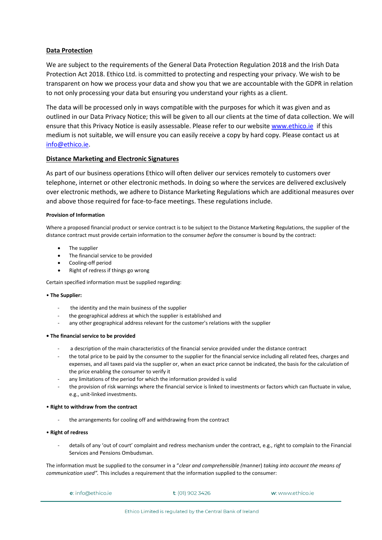# **Data Protection**

We are subject to the requirements of the General Data Protection Regulation 2018 and the Irish Data Protection Act 2018. Ethico Ltd. is committed to protecting and respecting your privacy. We wish to be transparent on how we process your data and show you that we are accountable with the GDPR in relation to not only processing your data but ensuring you understand your rights as a client.

The data will be processed only in ways compatible with the purposes for which it was given and as outlined in our Data Privacy Notice; this will be given to all our clients at the time of data collection. We will ensure that this Privacy Notice is easily assessable. Please refer to our website [www.ethico.ie](http://www.ethico.ie/) if this medium is not suitable, we will ensure you can easily receive a copy by hard copy. Please contact us at [info@ethico.ie.](mailto:info@ethico.ie)

# **Distance Marketing and Electronic Signatures**

As part of our business operations Ethico will often deliver our services remotely to customers over telephone, internet or other electronic methods. In doing so where the services are delivered exclusively over electronic methods, we adhere to Distance Marketing Regulations which are additional measures over and above those required for face-to-face meetings. These regulations include.

#### **Provision of Information**

Where a proposed financial product or service contract is to be subject to the Distance Marketing Regulations, the supplier of the distance contract must provide certain information to the consumer *before* the consumer is bound by the contract:

- The supplier
- The financial service to be provided
- Cooling-off period
- Right of redress if things go wrong

Certain specified information must be supplied regarding:

#### • **The Supplier:**

- the identity and the main business of the supplier
- the geographical address at which the supplier is established and
- any other geographical address relevant for the customer's relations with the supplier

#### **• The financial service to be provided**

- a description of the main characteristics of the financial service provided under the distance contract
- the total price to be paid by the consumer to the supplier for the financial service including all related fees, charges and expenses, and all taxes paid via the supplier or, when an exact price cannot be indicated, the basis for the calculation of the price enabling the consumer to verify it
- any limitations of the period for which the information provided is valid
- the provision of risk warnings where the financial service is linked to investments or factors which can fluctuate in value, e.g., unit-linked investments.

#### • **Right to withdraw from the contract**

the arrangements for cooling off and withdrawing from the contract

#### • **Right of redress**

- details of any 'out of court' complaint and redress mechanism under the contract, e.g., right to complain to the Financial Services and Pensions Ombudsman.

The information must be supplied to the consumer in a "*clear and comprehensible (*manner) *taking into account the means of communication used".* This includes a requirement that the information supplied to the consumer:

| <b>e</b> : info@ethico.ie | <b>t</b> : (01) 902 3426 | w: www.ethico.je |
|---------------------------|--------------------------|------------------|
|                           |                          |                  |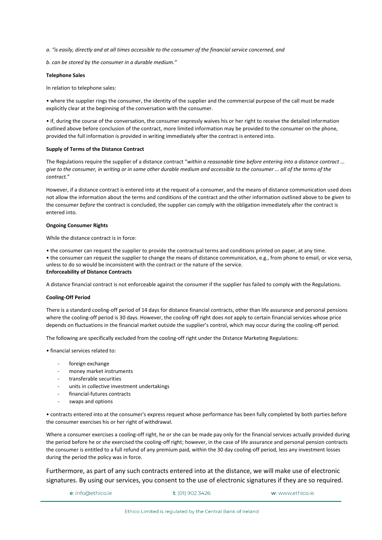*a. "is easily, directly and at all times accessible to the consumer of the financial service concerned, and*

*b. can be stored by the consumer in a durable medium."*

#### **Telephone Sales**

In relation to telephone sales:

• where the supplier rings the consumer, the identity of the supplier and the commercial purpose of the call must be made explicitly clear at the beginning of the conversation with the consumer.

• if, during the course of the conversation, the consumer expressly waives his or her right to receive the detailed information outlined above before conclusion of the contract, more limited information may be provided to the consumer on the phone, provided the full information is provided in writing immediately after the contract is entered into.

#### **Supply of Terms of the Distance Contract**

The Regulations require the supplier of a distance contract "*within a reasonable time before entering into a distance contract ... give to the consumer, in writing or in some other durable medium and accessible to the consumer ... all of the terms of the contract.*"

However, if a distance contract is entered into at the request of a consumer, and the means of distance communication used does not allow the information about the terms and conditions of the contract and the other information outlined above to be given to the consumer *before* the contract is concluded, the supplier can comply with the obligation immediately after the contract is entered into.

#### **Ongoing Consumer Rights**

While the distance contract is in force:

• the consumer can request the supplier to provide the contractual terms and conditions printed on paper, at any time. • the consumer can request the supplier to change the means of distance communication, e.g., from phone to email, or vice versa, unless to do so would be inconsistent with the contract or the nature of the service. **Enforceability of Distance Contracts**

A distance financial contract is not enforceable against the consumer if the supplier has failed to comply with the Regulations.

#### **Cooling-Off Period**

There is a standard cooling-off period of 14 days for distance financial contracts, other than life assurance and personal pensions where the cooling-off period is 30 days. However, the cooling-off right does *not* apply to certain financial services whose price depends on fluctuations in the financial market outside the supplier's control, which may occur during the cooling-off period.

The following are specifically excluded from the cooling-off right under the Distance Marketing Regulations:

• financial services related to:

- foreign exchange
- money market instruments
- transferable securities
- units in collective investment undertakings
- financial-futures contracts
- swaps and options

• contracts entered into at the consumer's express request whose performance has been fully completed by both parties before the consumer exercises his or her right of withdrawal.

Where a consumer exercises a cooling-off right, he or she can be made pay only for the financial services actually provided during the period before he or she exercised the cooling-off right; however, in the case of life assurance and personal pension contracts the consumer is entitled to a full refund of any premium paid, within the 30 day cooling-off period, less any investment losses during the period the policy was in force.

Furthermore, as part of any such contracts entered into at the distance, we will make use of electronic signatures. By using our services, you consent to the use of electronic signatures if they are so required.

```
e: info@ethico.ie
```
t: (01) 902 3426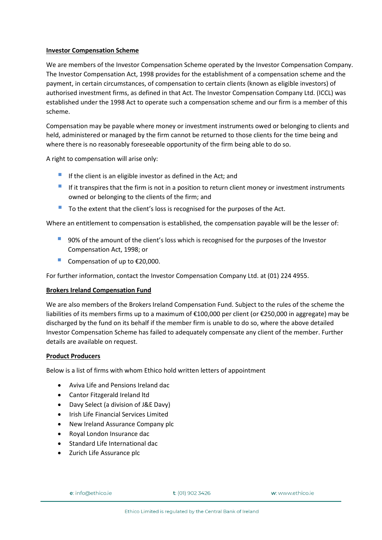### **Investor Compensation Scheme**

We are members of the Investor Compensation Scheme operated by the Investor Compensation Company. The Investor Compensation Act, 1998 provides for the establishment of a compensation scheme and the payment, in certain circumstances, of compensation to certain clients (known as eligible investors) of authorised investment firms, as defined in that Act. The Investor Compensation Company Ltd. (ICCL) was established under the 1998 Act to operate such a compensation scheme and our firm is a member of this scheme.

Compensation may be payable where money or investment instruments owed or belonging to clients and held, administered or managed by the firm cannot be returned to those clients for the time being and where there is no reasonably foreseeable opportunity of the firm being able to do so.

A right to compensation will arise only:

- $\blacksquare$  If the client is an eligible investor as defined in the Act; and
- **If it transpires that the firm is not in a position to return client money or investment instruments** owned or belonging to the clients of the firm; and
- To the extent that the client's loss is recognised for the purposes of the Act.

Where an entitlement to compensation is established, the compensation payable will be the lesser of:

- 90% of the amount of the client's loss which is recognised for the purposes of the Investor Compensation Act, 1998; or
- Compensation of up to  $£20,000$ .

For further information, contact the Investor Compensation Company Ltd. at (01) 224 4955.

# **Brokers Ireland Compensation Fund**

We are also members of the Brokers Ireland Compensation Fund. Subject to the rules of the scheme the liabilities of its members firms up to a maximum of €100,000 per client (or €250,000 in aggregate) may be discharged by the fund on its behalf if the member firm is unable to do so, where the above detailed Investor Compensation Scheme has failed to adequately compensate any client of the member. Further details are available on request.

# **Product Producers**

Below is a list of firms with whom Ethico hold written letters of appointment

- Aviva Life and Pensions Ireland dac
- Cantor Fitzgerald Ireland ltd
- Davy Select (a division of J&E Davy)
- Irish Life Financial Services Limited
- New Ireland Assurance Company plc
- Royal London Insurance dac
- Standard Life International dac
- Zurich Life Assurance plc

e: info@ethico.ie

 $t$ : (01) 902 3426